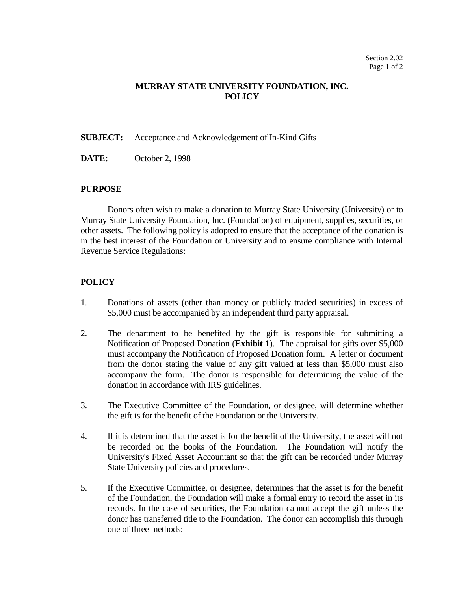## **MURRAY STATE UNIVERSITY FOUNDATION, INC. POLICY**

**SUBJECT:** Acceptance and Acknowledgement of In-Kind Gifts

**DATE:** October 2, 1998

#### **PURPOSE**

Donors often wish to make a donation to Murray State University (University) or to Murray State University Foundation, Inc. (Foundation) of equipment, supplies, securities, or other assets. The following policy is adopted to ensure that the acceptance of the donation is in the best interest of the Foundation or University and to ensure compliance with Internal Revenue Service Regulations:

### **POLICY**

- 1. Donations of assets (other than money or publicly traded securities) in excess of \$5,000 must be accompanied by an independent third party appraisal.
- 2. The department to be benefited by the gift is responsible for submitting a Notification of Proposed Donation (**Exhibit 1**). The appraisal for gifts over \$5,000 must accompany the Notification of Proposed Donation form. A letter or document from the donor stating the value of any gift valued at less than \$5,000 must also accompany the form. The donor is responsible for determining the value of the donation in accordance with IRS guidelines.
- 3. The Executive Committee of the Foundation, or designee, will determine whether the gift is for the benefit of the Foundation or the University.
- 4. If it is determined that the asset is for the benefit of the University, the asset will not be recorded on the books of the Foundation. The Foundation will notify the University's Fixed Asset Accountant so that the gift can be recorded under Murray State University policies and procedures.
- 5. If the Executive Committee, or designee, determines that the asset is for the benefit of the Foundation, the Foundation will make a formal entry to record the asset in its records. In the case of securities, the Foundation cannot accept the gift unless the donor has transferred title to the Foundation. The donor can accomplish this through one of three methods: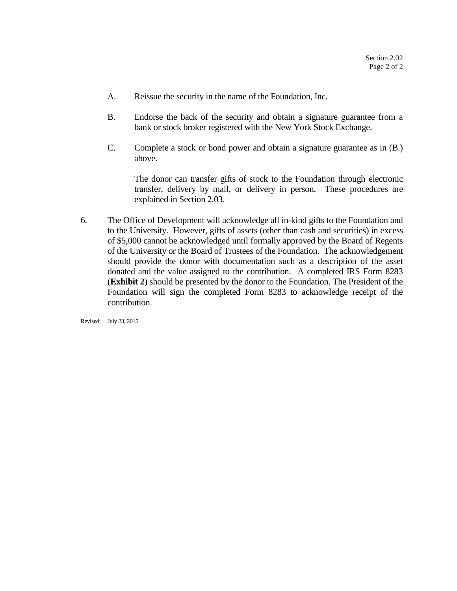- A. Reissue the security in the name of the Foundation, Inc.
- B. Endorse the back of the security and obtain a signature guarantee from a bank or stock broker registered with the New York Stock Exchange.
- C. Complete a stock or bond power and obtain a signature guarantee as in (B.) above.

The donor can transfer gifts of stock to the Foundation through electronic transfer, delivery by mail, or delivery in person. These procedures are explained in Section 2.03.

6. The Office of Development will acknowledge all in-kind gifts to the Foundation and to the University. However, gifts of assets (other than cash and securities) in excess of \$5,000 cannot be acknowledged until formally approved by the Board of Regents of the University or the Board of Trustees of the Foundation. The acknowledgement should provide the donor with documentation such as a description of the asset donated and the value assigned to the contribution. A completed IRS Form 8283 (**Exhibit 2**) should be presented by the donor to the Foundation. The President of the Foundation will sign the completed Form 8283 to acknowledge receipt of the contribution.

Revised: July 23, 2015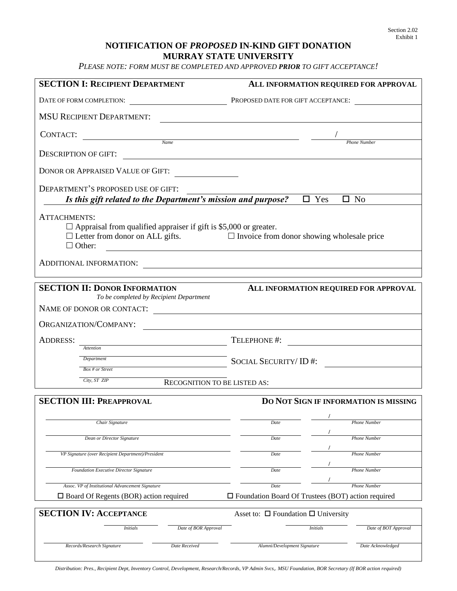## **NOTIFICATION OF** *PROPOSED* **IN-KIND GIFT DONATION MURRAY STATE UNIVERSITY**

*PLEASE NOTE: FORM MUST BE COMPLETED AND APPROVED PRIOR TO GIFT ACCEPTANCE!*

| <b>SECTION I: RECIPIENT DEPARTMENT</b>                                                                       | ALL INFORMATION REQUIRED FOR APPROVAL                                                    |
|--------------------------------------------------------------------------------------------------------------|------------------------------------------------------------------------------------------|
|                                                                                                              | DATE OF FORM COMPLETION: PROPOSED DATE FOR GIFT ACCEPTANCE:                              |
| <b>MSU RECIPIENT DEPARTMENT:</b>                                                                             | <u> 1980 - Johann Stoff, amerikansk politiker (* 1908)</u>                               |
| CONTACT:<br>Name                                                                                             |                                                                                          |
| <b>DESCRIPTION OF GIFT:</b>                                                                                  |                                                                                          |
| DONOR OR APPRAISED VALUE OF GIFT:                                                                            |                                                                                          |
| DEPARTMENT'S PROPOSED USE OF GIFT:<br>Is this gift related to the Department's mission and purpose?          | $\overline{\Box}$ Yes<br>$\square$ No                                                    |
| ATTACHMENTS:<br>$\Box$ Appraisal from qualified appraiser if gift is \$5,000 or greater.<br>$\Box$ Other:    | $\Box$ Letter from donor on ALL gifts. $\Box$ Invoice from donor showing wholesale price |
|                                                                                                              |                                                                                          |
| <b>SECTION II: DONOR INFORMATION</b><br>To be completed by Recipient Department<br>NAME OF DONOR OR CONTACT: | ALL INFORMATION REQUIRED FOR APPROVAL                                                    |
| ORGANIZATION/COMPANY:                                                                                        | <u> 1980 - Andrea Station Barbara, amerikan personal (h. 1980).</u>                      |
| <b>ADDRESS:</b>                                                                                              | TELEPHONE #:                                                                             |
| Attention<br>Department                                                                                      | SOCIAL SECURITY/ID #:                                                                    |
| Box # or Street<br>City, ST ZIP                                                                              |                                                                                          |
| RECOGNITION TO BE LISTED AS:                                                                                 |                                                                                          |
| <b>SECTION III: PREAPPROVAL</b>                                                                              | <b>DO NOT SIGN IF INFORMATION IS MISSING</b>                                             |
| Chair Signature                                                                                              | Date<br><b>Phone Number</b>                                                              |
| Dean or Director Signature                                                                                   | Date<br><b>Phone Number</b>                                                              |
| VP Signature (over Recipient Department)/President                                                           | Date<br><b>Phone Number</b>                                                              |
| Foundation Executive Director Signature                                                                      | Date<br><b>Phone Number</b>                                                              |
| Assoc. VP of Institutional Advancement Signature                                                             | Date<br>Phone Number                                                                     |
| $\square$ Board Of Regents (BOR) action required                                                             | $\Box$ Foundation Board Of Trustees (BOT) action required                                |
| <b>SECTION IV: ACCEPTANCE</b>                                                                                | Asset to: $\Box$ Foundation $\Box$ University                                            |
| Date of BOR Approval<br><b>Initials</b>                                                                      | Date of BOT Approval<br><b>Initials</b>                                                  |
| Records/Research Signature<br>Date Received                                                                  | Date Acknowledged<br>Alumni/Development Signature                                        |

*Distribution: Pres., Recipient Dept, Inventory Control, Development, Research/Records, VP Admin Svcs,. MSU Foundation, BOR Secretary (If BOR action required)*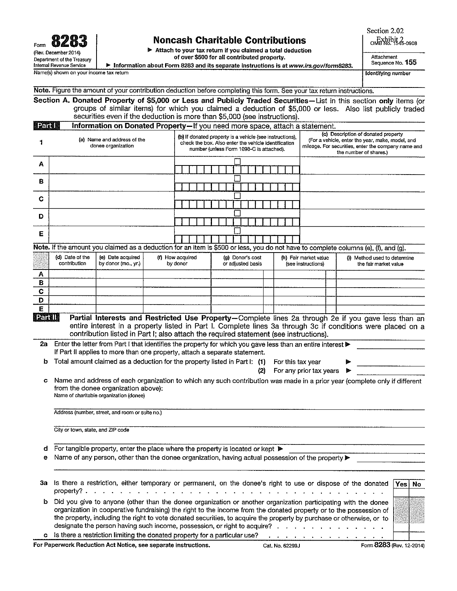C D

# **Noncash Charitable Contributions**

Attach to your tax return if you claimed a total deduction of over \$500 for all contributed property.

Information about Form 8283 and its separate instructions is at www.irs.gov/form8283.

Attachment Sequence No. 155

Section 2.02  $ORX<sub>0</sub>$ ,  $1545-0908$ 

**Identifying number** 

Name(s) shown on your income tax return

Note. Figure the amount of your contribution deduction before completing this form. See your tax return instructions.

Section A. Donated Property of \$5,000 or Less and Publicly Traded Securities-List in this section only items (or groups of similar items) for which you claimed a deduction of \$5,000 or less. Also list publicly traded securities even if the deduction is more than \$5,000 (see instructions).

| <b>Learu II</b>                                   | Information on Donated Property-If you need more space, attach a statement. |                                                                                                                                                              |                                                                                                                                                                          |  |  |  |
|---------------------------------------------------|-----------------------------------------------------------------------------|--------------------------------------------------------------------------------------------------------------------------------------------------------------|--------------------------------------------------------------------------------------------------------------------------------------------------------------------------|--|--|--|
| (a) Name and address of the<br>donee organization |                                                                             | (b) If donated property is a vehicle (see instructions).<br>check the box. Also enter the vehicle identification<br>number (unless Form 1098-C is attached). | (c) Description of donated property<br>(For a vehicle, enter the year, make, model, and<br>mileage. For securities, enter the company name and<br>the number of shares.) |  |  |  |
| А                                                 |                                                                             |                                                                                                                                                              |                                                                                                                                                                          |  |  |  |
| в                                                 |                                                                             |                                                                                                                                                              |                                                                                                                                                                          |  |  |  |
| С                                                 |                                                                             |                                                                                                                                                              |                                                                                                                                                                          |  |  |  |
| D                                                 |                                                                             |                                                                                                                                                              |                                                                                                                                                                          |  |  |  |
| Е                                                 |                                                                             |                                                                                                                                                              |                                                                                                                                                                          |  |  |  |
|                                                   |                                                                             | Note. If the amount you claimed as a deduction for an item is \$500 or less, you do not have to complete columns (e), (f), and (g).                          |                                                                                                                                                                          |  |  |  |

(d) Date of the (e) Date acquired (f) How acquired (h) Fair market value (i) Method used to determine (a) Donor's cost contribution by donor (mo., yr.) by donor or adjusted basis (see instructions) the fair market value A  $\overline{B}$ 

Ë Partill Partial Interests and Restricted Use Property-Complete lines 2a through 2e if you gave less than an entire interest in a property listed in Part I. Complete lines 3a through 3c if conditions were placed on a contribution listed in Part I; also attach the required statement (see instructions).

| 2a Enter the letter from Part I that identifies the property for which you gave less than an entire interest |  |
|--------------------------------------------------------------------------------------------------------------|--|
| If Part II applies to more than one property, attach a separate statement.                                   |  |
| <b>b</b> Total amount claimed as a deduction for the property listed in Part I: (1) For this tax year        |  |

c Name and address of each organization to which any such contribution was made in a prior year (complete only if different from the donee organization above): Name of charitable organization (donee)

Address (number, street, and room or suite no.)

City or town, state, and ZIP code

- **d** For tangible property, enter the place where the property is located or kept  $\triangleright$
- Name of any person, other than the donee organization, having actual possession of the property  $\blacktriangleright$

|              | 3a Is there a restriction, either temporary or permanent, on the donee's right to use or dispose of the donated<br>property? $\cdots$ $\cdots$ $\cdots$ $\cdots$ $\cdots$ $\cdots$ $\cdots$ $\cdots$ $\cdots$ $\cdots$ $\cdots$ $\cdots$ $\cdots$                                                                                                                                                                                          | Yes  No |  |
|--------------|--------------------------------------------------------------------------------------------------------------------------------------------------------------------------------------------------------------------------------------------------------------------------------------------------------------------------------------------------------------------------------------------------------------------------------------------|---------|--|
| b.           | Did you give to anyone (other than the donee organization or another organization participating with the donee<br>organization in cooperative fundraising) the right to the income from the donated property or to the possession of<br>the property, including the right to vote donated securities, to acquire the property by purchase or otherwise, or to<br>designate the person having such income, possession, or right to acquire? |         |  |
| $\mathbf{c}$ | Is there a restriction limiting the donated property for a particular use?                                                                                                                                                                                                                                                                                                                                                                 |         |  |

For Paperwork Reduction Act Notice, see separate instructions.

(2) For any prior tax years  $\triangleright$